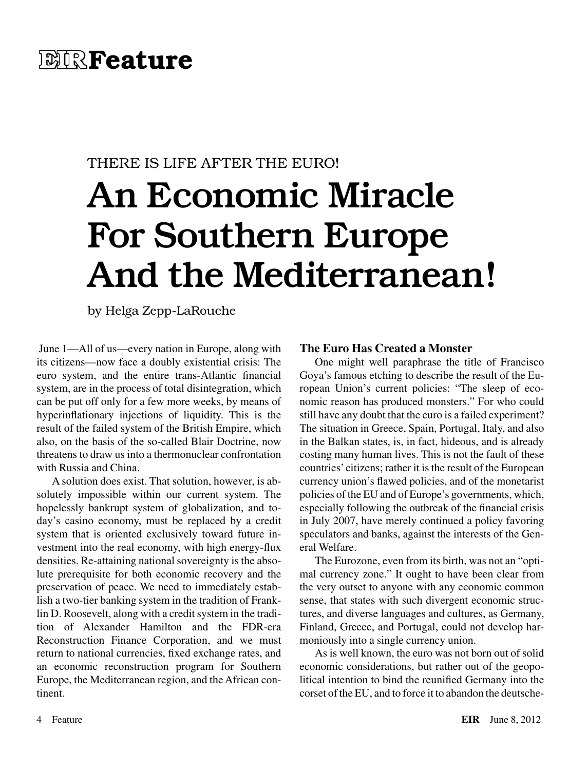# THERE IS LIFE AFTER THE EURO! An Economic Miracle For Southern Europe And the Mediterranean!

by Helga Zepp-LaRouche

 June 1—All of us—every nation in Europe, along with its citizens—now face a doubly existential crisis: The euro system, and the entire trans-Atlantic financial system, are in the process of total disintegration, which can be put off only for a few more weeks, by means of hyperinflationary injections of liquidity. This is the result of the failed system of the British Empire, which also, on the basis of the so-called Blair Doctrine, now threatens to draw us into a thermonuclear confrontation with Russia and China.

A solution does exist. That solution, however, is absolutely impossible within our current system. The hopelessly bankrupt system of globalization, and today's casino economy, must be replaced by a credit system that is oriented exclusively toward future investment into the real economy, with high energy-flux densities. Re-attaining national sovereignty is the absolute prerequisite for both economic recovery and the preservation of peace. We need to immediately establish a two-tier banking system in the tradition of Franklin D. Roosevelt, along with a credit system in the tradition of Alexander Hamilton and the FDR-era Reconstruction Finance Corporation, and we must return to national currencies, fixed exchange rates, and an economic reconstruction program for Southern Europe, the Mediterranean region, and the African continent.

### **The Euro Has Created a Monster**

One might well paraphrase the title of Francisco Goya's famous etching to describe the result of the European Union's current policies: "The sleep of economic reason has produced monsters." For who could still have any doubt that the euro is a failed experiment? The situation in Greece, Spain, Portugal, Italy, and also in the Balkan states, is, in fact, hideous, and is already costing many human lives. This is not the fault of these countries' citizens; rather it is the result of the European currency union's flawed policies, and of the monetarist policies of the EU and of Europe's governments, which, especially following the outbreak of the financial crisis in July 2007, have merely continued a policy favoring speculators and banks, against the interests of the General Welfare.

The Eurozone, even from its birth, was not an "optimal currency zone." It ought to have been clear from the very outset to anyone with any economic common sense, that states with such divergent economic structures, and diverse languages and cultures, as Germany, Finland, Greece, and Portugal, could not develop harmoniously into a single currency union.

As is well known, the euro was not born out of solid economic considerations, but rather out of the geopolitical intention to bind the reunified Germany into the corset of the EU, and to force it to abandon the deutsche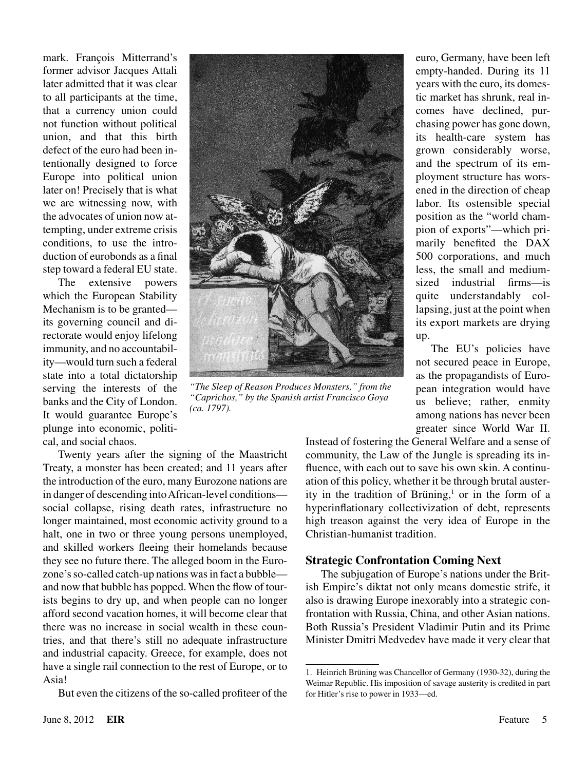mark. François Mitterrand's former advisor Jacques Attali later admitted that it was clear to all participants at the time, that a currency union could not function without political union, and that this birth defect of the euro had been intentionally designed to force Europe into political union later on! Precisely that is what we are witnessing now, with the advocates of union now attempting, under extreme crisis conditions, to use the introduction of eurobonds as a final step toward a federal EU state.

The extensive powers which the European Stability Mechanism is to be granted its governing council and directorate would enjoy lifelong immunity, and no accountability—would turn such a federal state into a total dictatorship serving the interests of the banks and the City of London. It would guarantee Europe's plunge into economic, political, and social chaos.



*"The Sleep of Reason Produces Monsters," from the "Caprichos," by the Spanish artist Francisco Goya (ca. 1797).*

Twenty years after the signing of the Maastricht Treaty, a monster has been created; and 11 years after the introduction of the euro, many Eurozone nations are in danger of descending into African-level conditions social collapse, rising death rates, infrastructure no longer maintained, most economic activity ground to a halt, one in two or three young persons unemployed, and skilled workers fleeing their homelands because they see no future there. The alleged boom in the Eurozone's so-called catch-up nations was in fact a bubble and now that bubble has popped. When the flow of tourists begins to dry up, and when people can no longer afford second vacation homes, it will become clear that there was no increase in social wealth in these countries, and that there's still no adequate infrastructure and industrial capacity. Greece, for example, does not have a single rail connection to the rest of Europe, or to Asia!

But even the citizens of the so-called profiteer of the

euro, Germany, have been left empty-handed. During its 11 years with the euro, its domestic market has shrunk, real incomes have declined, purchasing power has gone down, its health-care system has grown considerably worse, and the spectrum of its employment structure has worsened in the direction of cheap labor. Its ostensible special position as the "world champion of exports"—which primarily benefited the DAX 500 corporations, and much less, the small and mediumsized industrial firms—is quite understandably collapsing, just at the point when its export markets are drying up.

The EU's policies have not secured peace in Europe, as the propagandists of European integration would have us believe; rather, enmity among nations has never been greater since World War II.

Instead of fostering the General Welfare and a sense of community, the Law of the Jungle is spreading its influence, with each out to save his own skin. A continuation of this policy, whether it be through brutal austerity in the tradition of Brüning, $1$  or in the form of a hyperinflationary collectivization of debt, represents high treason against the very idea of Europe in the Christian-humanist tradition.

#### **Strategic Confrontation Coming Next**

The subjugation of Europe's nations under the British Empire's diktat not only means domestic strife, it also is drawing Europe inexorably into a strategic confrontation with Russia, China, and other Asian nations. Both Russia's President Vladimir Putin and its Prime Minister Dmitri Medvedev have made it very clear that

<sup>1.</sup> Heinrich Brüning was Chancellor of Germany (1930-32), during the Weimar Republic. His imposition of savage austerity is credited in part for Hitler's rise to power in 1933—ed.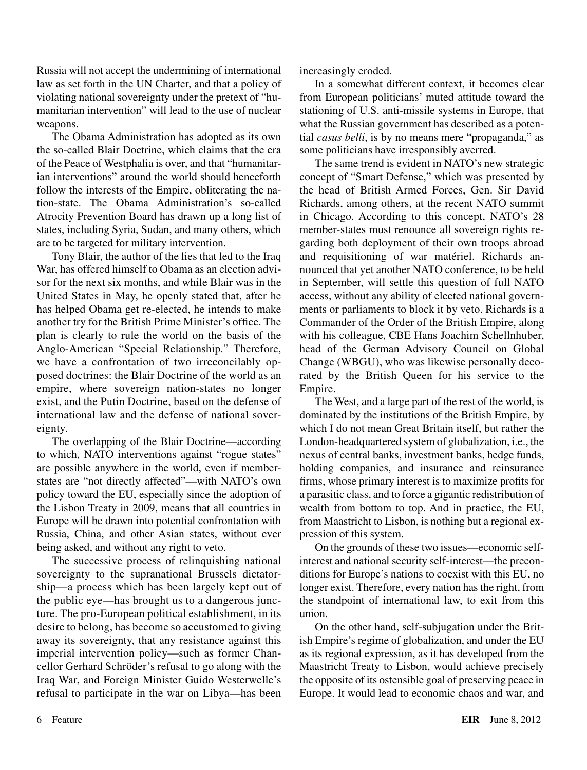Russia will not accept the undermining of international law as set forth in the UN Charter, and that a policy of violating national sovereignty under the pretext of "humanitarian intervention" will lead to the use of nuclear weapons.

The Obama Administration has adopted as its own the so-called Blair Doctrine, which claims that the era of the Peace of Westphalia is over, and that "humanitarian interventions" around the world should henceforth follow the interests of the Empire, obliterating the nation-state. The Obama Administration's so-called Atrocity Prevention Board has drawn up a long list of states, including Syria, Sudan, and many others, which are to be targeted for military intervention.

Tony Blair, the author of the lies that led to the Iraq War, has offered himself to Obama as an election advisor for the next six months, and while Blair was in the United States in May, he openly stated that, after he has helped Obama get re-elected, he intends to make another try for the British Prime Minister's office. The plan is clearly to rule the world on the basis of the Anglo-American "Special Relationship." Therefore, we have a confrontation of two irreconcilably opposed doctrines: the Blair Doctrine of the world as an empire, where sovereign nation-states no longer exist, and the Putin Doctrine, based on the defense of international law and the defense of national sovereignty.

The overlapping of the Blair Doctrine—according to which, NATO interventions against "rogue states" are possible anywhere in the world, even if memberstates are "not directly affected"—with NATO's own policy toward the EU, especially since the adoption of the Lisbon Treaty in 2009, means that all countries in Europe will be drawn into potential confrontation with Russia, China, and other Asian states, without ever being asked, and without any right to veto.

The successive process of relinquishing national sovereignty to the supranational Brussels dictatorship—a process which has been largely kept out of the public eye—has brought us to a dangerous juncture. The pro-European political establishment, in its desire to belong, has become so accustomed to giving away its sovereignty, that any resistance against this imperial intervention policy—such as former Chancellor Gerhard Schröder's refusal to go along with the Iraq War, and Foreign Minister Guido Westerwelle's refusal to participate in the war on Libya—has been increasingly eroded.

In a somewhat different context, it becomes clear from European politicians' muted attitude toward the stationing of U.S. anti-missile systems in Europe, that what the Russian government has described as a potential *casus belli*, is by no means mere "propaganda," as some politicians have irresponsibly averred.

The same trend is evident in NATO's new strategic concept of "Smart Defense," which was presented by the head of British Armed Forces, Gen. Sir David Richards, among others, at the recent NATO summit in Chicago. According to this concept, NATO's 28 member-states must renounce all sovereign rights regarding both deployment of their own troops abroad and requisitioning of war matériel. Richards announced that yet another NATO conference, to be held in September, will settle this question of full NATO access, without any ability of elected national governments or parliaments to block it by veto. Richards is a Commander of the Order of the British Empire, along with his colleague, CBE Hans Joachim Schellnhuber, head of the German Advisory Council on Global Change (WBGU), who was likewise personally decorated by the British Queen for his service to the Empire.

The West, and a large part of the rest of the world, is dominated by the institutions of the British Empire, by which I do not mean Great Britain itself, but rather the London-headquartered system of globalization, i.e., the nexus of central banks, investment banks, hedge funds, holding companies, and insurance and reinsurance firms, whose primary interest is to maximize profits for a parasitic class, and to force a gigantic redistribution of wealth from bottom to top. And in practice, the EU, from Maastricht to Lisbon, is nothing but a regional expression of this system.

On the grounds of these two issues—economic selfinterest and national security self-interest—the preconditions for Europe's nations to coexist with this EU, no longer exist. Therefore, every nation has the right, from the standpoint of international law, to exit from this union.

On the other hand, self-subjugation under the British Empire's regime of globalization, and under the EU as its regional expression, as it has developed from the Maastricht Treaty to Lisbon, would achieve precisely the opposite of its ostensible goal of preserving peace in Europe. It would lead to economic chaos and war, and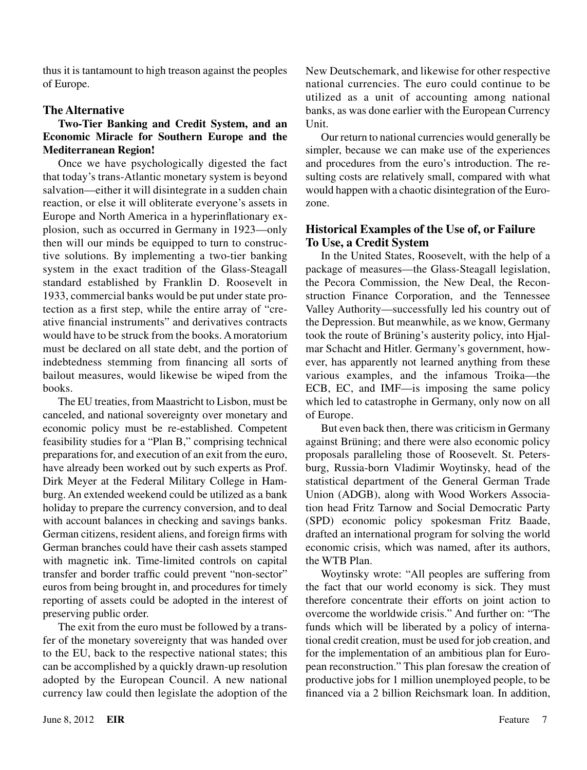thus it is tantamount to high treason against the peoples of Europe.

#### **The Alternative**

#### **Two-Tier Banking and Credit System, and an Economic Miracle for Southern Europe and the Mediterranean Region!**

Once we have psychologically digested the fact that today's trans-Atlantic monetary system is beyond salvation—either it will disintegrate in a sudden chain reaction, or else it will obliterate everyone's assets in Europe and North America in a hyperinflationary explosion, such as occurred in Germany in 1923—only then will our minds be equipped to turn to constructive solutions. By implementing a two-tier banking system in the exact tradition of the Glass-Steagall standard established by Franklin D. Roosevelt in 1933, commercial banks would be put under state protection as a first step, while the entire array of "creative financial instruments" and derivatives contracts would have to be struck from the books. A moratorium must be declared on all state debt, and the portion of indebtedness stemming from financing all sorts of bailout measures, would likewise be wiped from the books.

The EU treaties, from Maastricht to Lisbon, must be canceled, and national sovereignty over monetary and economic policy must be re-established. Competent feasibility studies for a "Plan B," comprising technical preparations for, and execution of an exit from the euro, have already been worked out by such experts as Prof. Dirk Meyer at the Federal Military College in Hamburg. An extended weekend could be utilized as a bank holiday to prepare the currency conversion, and to deal with account balances in checking and savings banks. German citizens, resident aliens, and foreign firms with German branches could have their cash assets stamped with magnetic ink. Time-limited controls on capital transfer and border traffic could prevent "non-sector" euros from being brought in, and procedures for timely reporting of assets could be adopted in the interest of preserving public order.

The exit from the euro must be followed by a transfer of the monetary sovereignty that was handed over to the EU, back to the respective national states; this can be accomplished by a quickly drawn-up resolution adopted by the European Council. A new national currency law could then legislate the adoption of the New Deutschemark, and likewise for other respective national currencies. The euro could continue to be utilized as a unit of accounting among national banks, as was done earlier with the European Currency Unit.

Our return to national currencies would generally be simpler, because we can make use of the experiences and procedures from the euro's introduction. The resulting costs are relatively small, compared with what would happen with a chaotic disintegration of the Eurozone.

## **Historical Examples of the Use of, or Failure To Use, a Credit System**

In the United States, Roosevelt, with the help of a package of measures—the Glass-Steagall legislation, the Pecora Commission, the New Deal, the Reconstruction Finance Corporation, and the Tennessee Valley Authority—successfully led his country out of the Depression. But meanwhile, as we know, Germany took the route of Brüning's austerity policy, into Hjalmar Schacht and Hitler. Germany's government, however, has apparently not learned anything from these various examples, and the infamous Troika—the ECB, EC, and IMF—is imposing the same policy which led to catastrophe in Germany, only now on all of Europe.

But even back then, there was criticism in Germany against Brüning; and there were also economic policy proposals paralleling those of Roosevelt. St. Petersburg, Russia-born Vladimir Woytinsky, head of the statistical department of the General German Trade Union (ADGB), along with Wood Workers Association head Fritz Tarnow and Social Democratic Party (SPD) economic policy spokesman Fritz Baade, drafted an international program for solving the world economic crisis, which was named, after its authors, the WTB Plan.

Woytinsky wrote: "All peoples are suffering from the fact that our world economy is sick. They must therefore concentrate their efforts on joint action to overcome the worldwide crisis." And further on: "The funds which will be liberated by a policy of international credit creation, must be used for job creation, and for the implementation of an ambitious plan for European reconstruction." This plan foresaw the creation of productive jobs for 1 million unemployed people, to be financed via a 2 billion Reichsmark loan. In addition,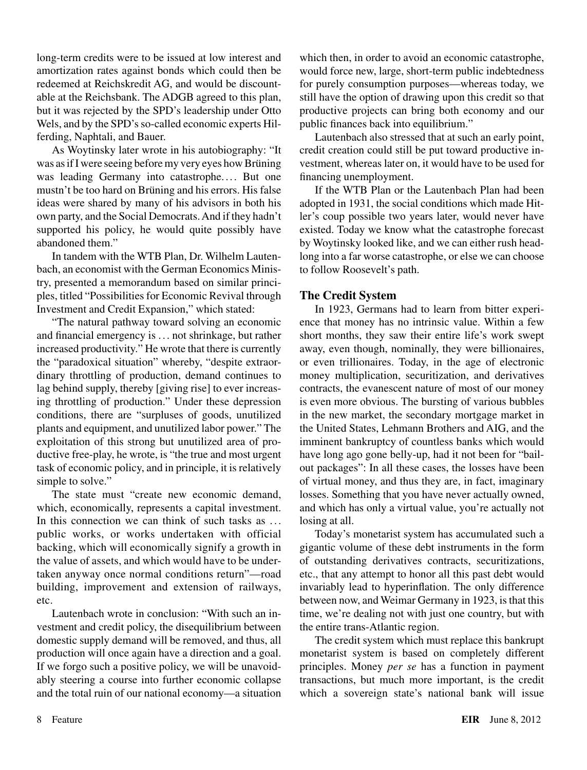long-term credits were to be issued at low interest and amortization rates against bonds which could then be redeemed at Reichskredit AG, and would be discountable at the Reichsbank. The ADGB agreed to this plan, but it was rejected by the SPD's leadership under Otto Wels, and by the SPD's so-called economic experts Hilferding, Naphtali, and Bauer.

As Woytinsky later wrote in his autobiography: "It was as if I were seeing before my very eyes how Brüning was leading Germany into catastrophe.... But one mustn't be too hard on Brüning and his errors. His false ideas were shared by many of his advisors in both his own party, and the Social Democrats. And if they hadn't supported his policy, he would quite possibly have abandoned them."

In tandem with the WTB Plan, Dr. Wilhelm Lautenbach, an economist with the German Economics Ministry, presented a memorandum based on similar principles, titled "Possibilities for Economic Revival through Investment and Credit Expansion," which stated:

"The natural pathway toward solving an economic and financial emergency is . .. not shrinkage, but rather increased productivity." He wrote that there is currently the "paradoxical situation" whereby, "despite extraordinary throttling of production, demand continues to lag behind supply, thereby [giving rise] to ever increasing throttling of production." Under these depression conditions, there are "surpluses of goods, unutilized plants and equipment, and unutilized labor power." The exploitation of this strong but unutilized area of productive free-play, he wrote, is "the true and most urgent task of economic policy, and in principle, it is relatively simple to solve."

The state must "create new economic demand, which, economically, represents a capital investment. In this connection we can think of such tasks as ... public works, or works undertaken with official backing, which will economically signify a growth in the value of assets, and which would have to be undertaken anyway once normal conditions return"—road building, improvement and extension of railways, etc.

Lautenbach wrote in conclusion: "With such an investment and credit policy, the disequilibrium between domestic supply demand will be removed, and thus, all production will once again have a direction and a goal. If we forgo such a positive policy, we will be unavoidably steering a course into further economic collapse and the total ruin of our national economy—a situation which then, in order to avoid an economic catastrophe, would force new, large, short-term public indebtedness for purely consumption purposes—whereas today, we still have the option of drawing upon this credit so that productive projects can bring both economy and our public finances back into equilibrium."

Lautenbach also stressed that at such an early point, credit creation could still be put toward productive investment, whereas later on, it would have to be used for financing unemployment.

If the WTB Plan or the Lautenbach Plan had been adopted in 1931, the social conditions which made Hitler's coup possible two years later, would never have existed. Today we know what the catastrophe forecast by Woytinsky looked like, and we can either rush headlong into a far worse catastrophe, or else we can choose to follow Roosevelt's path.

# **The Credit System**

In 1923, Germans had to learn from bitter experience that money has no intrinsic value. Within a few short months, they saw their entire life's work swept away, even though, nominally, they were billionaires, or even trillionaires. Today, in the age of electronic money multiplication, securitization, and derivatives contracts, the evanescent nature of most of our money is even more obvious. The bursting of various bubbles in the new market, the secondary mortgage market in the United States, Lehmann Brothers and AIG, and the imminent bankruptcy of countless banks which would have long ago gone belly-up, had it not been for "bailout packages": In all these cases, the losses have been of virtual money, and thus they are, in fact, imaginary losses. Something that you have never actually owned, and which has only a virtual value, you're actually not losing at all.

Today's monetarist system has accumulated such a gigantic volume of these debt instruments in the form of outstanding derivatives contracts, securitizations, etc., that any attempt to honor all this past debt would invariably lead to hyperinflation. The only difference between now, and Weimar Germany in 1923, is that this time, we're dealing not with just one country, but with the entire trans-Atlantic region.

The credit system which must replace this bankrupt monetarist system is based on completely different principles. Money *per se* has a function in payment transactions, but much more important, is the credit which a sovereign state's national bank will issue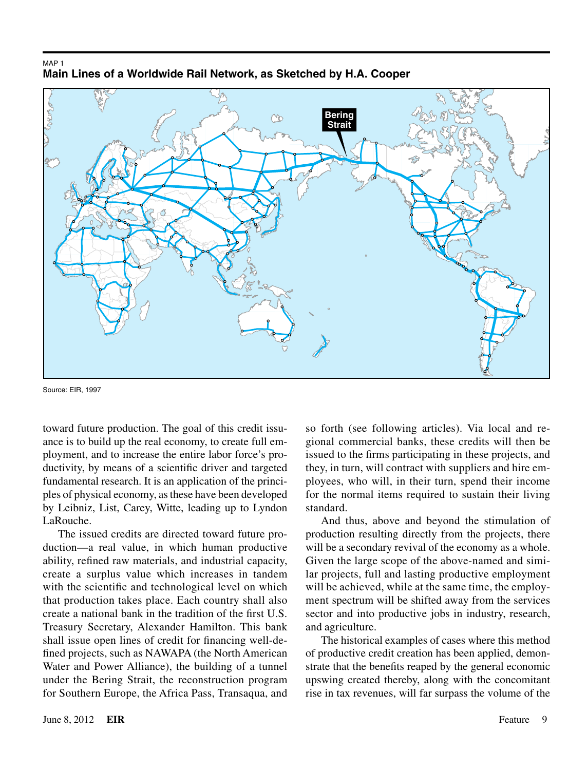



Source: EIR, 1997

toward future production. The goal of this credit issuance is to build up the real economy, to create full employment, and to increase the entire labor force's productivity, by means of a scientific driver and targeted fundamental research. It is an application of the principles of physical economy, as these have been developed by Leibniz, List, Carey, Witte, leading up to Lyndon LaRouche.

The issued credits are directed toward future production—a real value, in which human productive ability, refined raw materials, and industrial capacity, create a surplus value which increases in tandem with the scientific and technological level on which that production takes place. Each country shall also create a national bank in the tradition of the first U.S. Treasury Secretary, Alexander Hamilton. This bank shall issue open lines of credit for financing well-defined projects, such as NAWAPA (the North American Water and Power Alliance), the building of a tunnel under the Bering Strait, the reconstruction program for Southern Europe, the Africa Pass, Transaqua, and

so forth (see following articles). Via local and regional commercial banks, these credits will then be issued to the firms participating in these projects, and they, in turn, will contract with suppliers and hire employees, who will, in their turn, spend their income for the normal items required to sustain their living standard.

And thus, above and beyond the stimulation of production resulting directly from the projects, there will be a secondary revival of the economy as a whole. Given the large scope of the above-named and similar projects, full and lasting productive employment will be achieved, while at the same time, the employment spectrum will be shifted away from the services sector and into productive jobs in industry, research, and agriculture.

The historical examples of cases where this method of productive credit creation has been applied, demonstrate that the benefits reaped by the general economic upswing created thereby, along with the concomitant rise in tax revenues, will far surpass the volume of the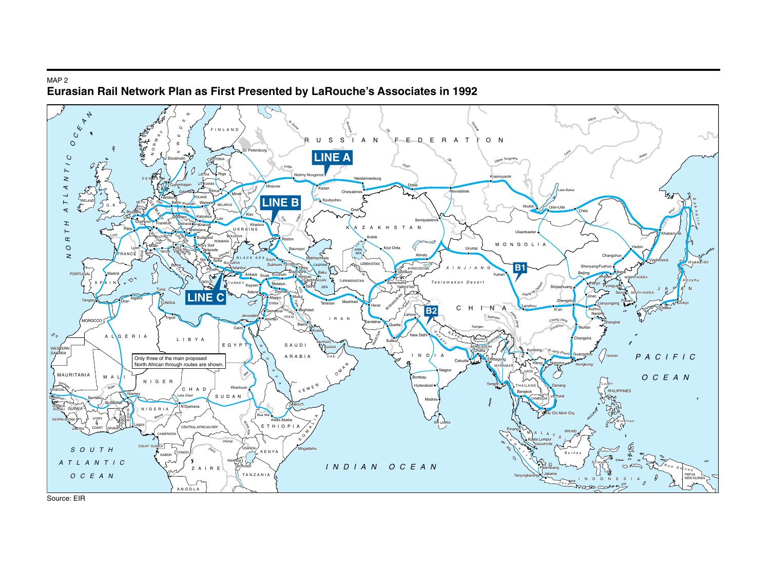#### Map 2**Eurasian Rail Network Plan as First Presented by LaRouche's Associates in 1992**



Source: EIR